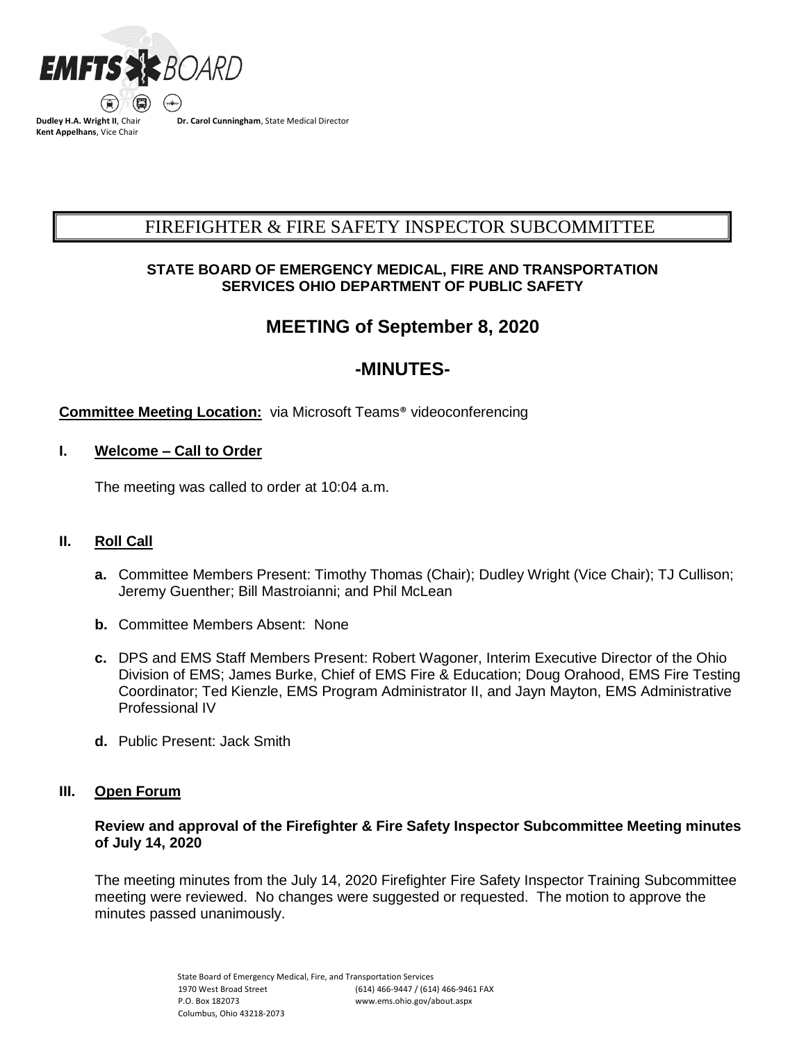

**Dudley H.A. Wright II**, Chair **Kent Appelhans**, Vice Chair

**Dr. Carol Cunningham**, State Medical Director

# FIREFIGHTER & FIRE SAFETY INSPECTOR SUBCOMMITTEE BCSUBCOMMITTEE COMMITTEESUBCOMMITTEE COMMITTEE COMMITTEESUBCOMMITTEE COMMITTEE COMMITTEE COMMITTEE COMMITTEE C

### **STATE BOARD OF EMERGENCY MEDICAL, FIRE AND TRANSPORTATION SERVICES OHIO DEPARTMENT OF PUBLIC SAFETY**

# **MEETING of September 8, 2020**

# **-MINUTES-**

## **Committee Meeting Location:** via Microsoft Teams® videoconferencing

## **I. Welcome – Call to Order**

The meeting was called to order at 10:04 a.m.

## **II. Roll Call**

- **a.** Committee Members Present: Timothy Thomas (Chair); Dudley Wright (Vice Chair); TJ Cullison; Jeremy Guenther; Bill Mastroianni; and Phil McLean
- **b.** Committee Members Absent: None
- **c.** DPS and EMS Staff Members Present: Robert Wagoner, Interim Executive Director of the Ohio Division of EMS; James Burke, Chief of EMS Fire & Education; Doug Orahood, EMS Fire Testing Coordinator; Ted Kienzle, EMS Program Administrator II, and Jayn Mayton, EMS Administrative Professional IV
- **d.** Public Present: Jack Smith

## **III. Open Forum**

### **Review and approval of the Firefighter & Fire Safety Inspector Subcommittee Meeting minutes of July 14, 2020**

The meeting minutes from the July 14, 2020 Firefighter Fire Safety Inspector Training Subcommittee meeting were reviewed. No changes were suggested or requested. The motion to approve the minutes passed unanimously.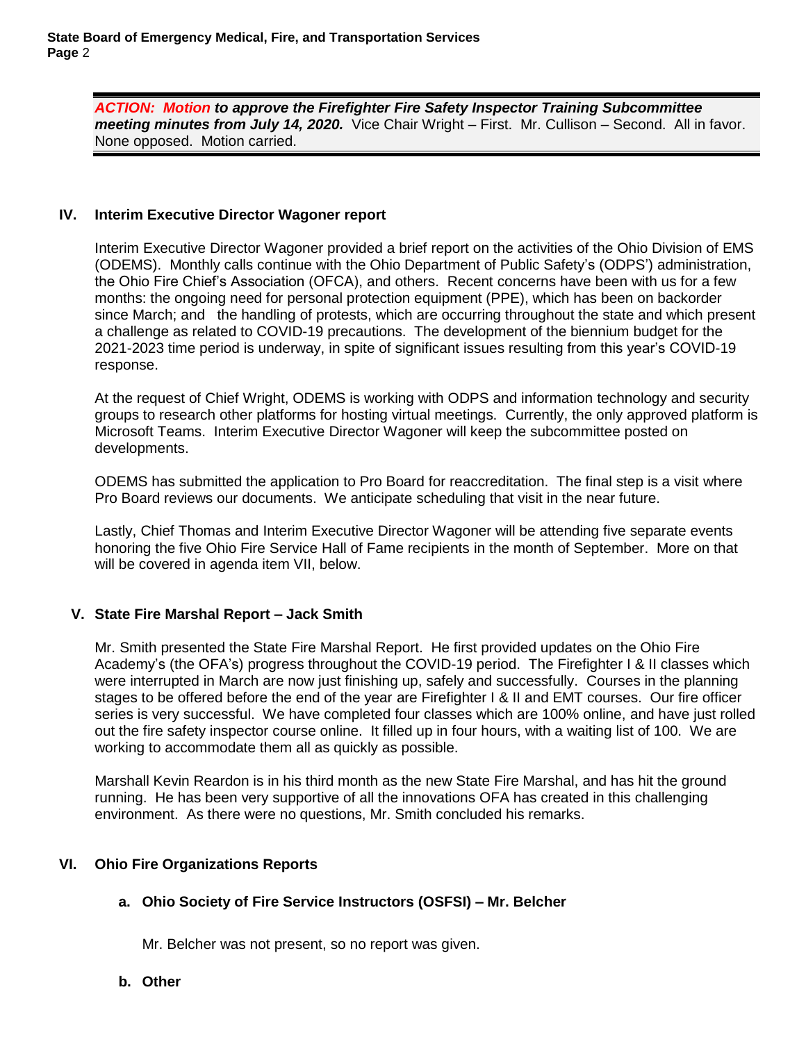*ACTION: Motion to approve the Firefighter Fire Safety Inspector Training Subcommittee meeting minutes from July 14, 2020.*Vice Chair Wright – First. Mr. Cullison – Second. All in favor. None opposed. Motion carried.

#### **IV. Interim Executive Director Wagoner report**

Interim Executive Director Wagoner provided a brief report on the activities of the Ohio Division of EMS (ODEMS). Monthly calls continue with the Ohio Department of Public Safety's (ODPS') administration, the Ohio Fire Chief's Association (OFCA), and others. Recent concerns have been with us for a few months: the ongoing need for personal protection equipment (PPE), which has been on backorder since March; and the handling of protests, which are occurring throughout the state and which present a challenge as related to COVID-19 precautions. The development of the biennium budget for the 2021-2023 time period is underway, in spite of significant issues resulting from this year's COVID-19 response.

At the request of Chief Wright, ODEMS is working with ODPS and information technology and security groups to research other platforms for hosting virtual meetings. Currently, the only approved platform is Microsoft Teams. Interim Executive Director Wagoner will keep the subcommittee posted on developments.

ODEMS has submitted the application to Pro Board for reaccreditation. The final step is a visit where Pro Board reviews our documents. We anticipate scheduling that visit in the near future.

Lastly, Chief Thomas and Interim Executive Director Wagoner will be attending five separate events honoring the five Ohio Fire Service Hall of Fame recipients in the month of September. More on that will be covered in agenda item VII, below.

#### **V. State Fire Marshal Report – Jack Smith**

Mr. Smith presented the State Fire Marshal Report. He first provided updates on the Ohio Fire Academy's (the OFA's) progress throughout the COVID-19 period. The Firefighter I & II classes which were interrupted in March are now just finishing up, safely and successfully. Courses in the planning stages to be offered before the end of the year are Firefighter I & II and EMT courses. Our fire officer series is very successful. We have completed four classes which are 100% online, and have just rolled out the fire safety inspector course online. It filled up in four hours, with a waiting list of 100. We are working to accommodate them all as quickly as possible.

Marshall Kevin Reardon is in his third month as the new State Fire Marshal, and has hit the ground running. He has been very supportive of all the innovations OFA has created in this challenging environment. As there were no questions, Mr. Smith concluded his remarks.

#### **VI. Ohio Fire Organizations Reports**

#### **a. Ohio Society of Fire Service Instructors (OSFSI) – Mr. Belcher**

Mr. Belcher was not present, so no report was given.

#### **b. Other**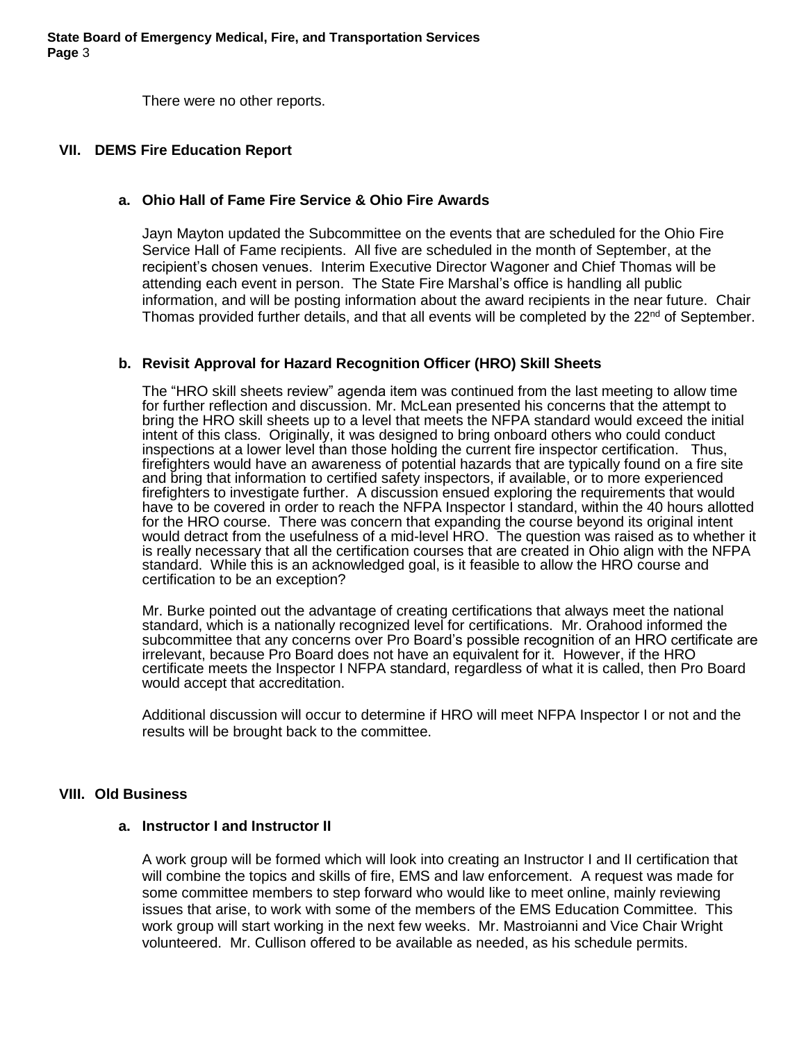There were no other reports.

#### **VII. DEMS Fire Education Report**

#### **a. Ohio Hall of Fame Fire Service & Ohio Fire Awards**

Jayn Mayton updated the Subcommittee on the events that are scheduled for the Ohio Fire Service Hall of Fame recipients. All five are scheduled in the month of September, at the recipient's chosen venues. Interim Executive Director Wagoner and Chief Thomas will be attending each event in person. The State Fire Marshal's office is handling all public information, and will be posting information about the award recipients in the near future. Chair Thomas provided further details, and that all events will be completed by the 22<sup>nd</sup> of September.

#### **b. Revisit Approval for Hazard Recognition Officer (HRO) Skill Sheets**

The "HRO skill sheets review" agenda item was continued from the last meeting to allow time for further reflection and discussion. Mr. McLean presented his concerns that the attempt to bring the HRO skill sheets up to a level that meets the NFPA standard would exceed the initial intent of this class. Originally, it was designed to bring onboard others who could conduct inspections at a lower level than those holding the current fire inspector certification. Thus, firefighters would have an awareness of potential hazards that are typically found on a fire site and bring that information to certified safety inspectors, if available, or to more experienced firefighters to investigate further. A discussion ensued exploring the requirements that would have to be covered in order to reach the NFPA Inspector I standard, within the 40 hours allotted for the HRO course. There was concern that expanding the course beyond its original intent would detract from the usefulness of a mid-level HRO. The question was raised as to whether it is really necessary that all the certification courses that are created in Ohio align with the NFPA standard. While this is an acknowledged goal, is it feasible to allow the HRO course and certification to be an exception?

Mr. Burke pointed out the advantage of creating certifications that always meet the national standard, which is a nationally recognized level for certifications. Mr. Orahood informed the subcommittee that any concerns over Pro Board's possible recognition of an HRO certificate are irrelevant, because Pro Board does not have an equivalent for it. However, if the HRO certificate meets the Inspector I NFPA standard, regardless of what it is called, then Pro Board would accept that accreditation.

Additional discussion will occur to determine if HRO will meet NFPA Inspector I or not and the results will be brought back to the committee.

#### **VIII. Old Business**

#### **a. Instructor I and Instructor II**

A work group will be formed which will look into creating an Instructor I and II certification that will combine the topics and skills of fire, EMS and law enforcement. A request was made for some committee members to step forward who would like to meet online, mainly reviewing issues that arise, to work with some of the members of the EMS Education Committee. This work group will start working in the next few weeks. Mr. Mastroianni and Vice Chair Wright volunteered. Mr. Cullison offered to be available as needed, as his schedule permits.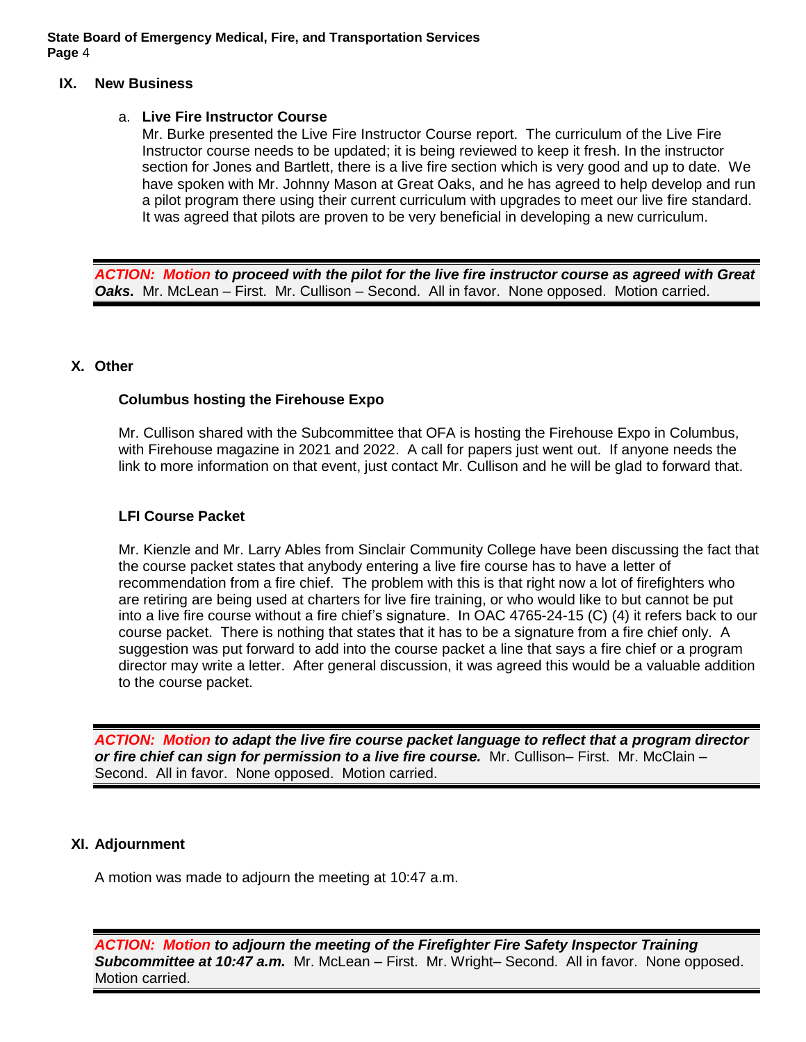**State Board of Emergency Medical, Fire, and Transportation Services Page** 4

#### **IX. New Business**

#### a. **Live Fire Instructor Course**

Mr. Burke presented the Live Fire Instructor Course report. The curriculum of the Live Fire Instructor course needs to be updated; it is being reviewed to keep it fresh. In the instructor section for Jones and Bartlett, there is a live fire section which is very good and up to date. We have spoken with Mr. Johnny Mason at Great Oaks, and he has agreed to help develop and run a pilot program there using their current curriculum with upgrades to meet our live fire standard. It was agreed that pilots are proven to be very beneficial in developing a new curriculum.

*ACTION: Motion to proceed with the pilot for the live fire instructor course as agreed with Great*  **Oaks.** Mr. McLean – First. Mr. Cullison – Second. All in favor. None opposed. Motion carried.

#### **X. Other**

#### **Columbus hosting the Firehouse Expo**

Mr. Cullison shared with the Subcommittee that OFA is hosting the Firehouse Expo in Columbus, with Firehouse magazine in 2021 and 2022. A call for papers just went out. If anyone needs the link to more information on that event, just contact Mr. Cullison and he will be glad to forward that.

#### **LFI Course Packet**

Mr. Kienzle and Mr. Larry Ables from Sinclair Community College have been discussing the fact that the course packet states that anybody entering a live fire course has to have a letter of recommendation from a fire chief. The problem with this is that right now a lot of firefighters who are retiring are being used at charters for live fire training, or who would like to but cannot be put into a live fire course without a fire chief's signature. In OAC 4765-24-15 (C) (4) it refers back to our course packet. There is nothing that states that it has to be a signature from a fire chief only. A suggestion was put forward to add into the course packet a line that says a fire chief or a program director may write a letter. After general discussion, it was agreed this would be a valuable addition to the course packet.

*ACTION: Motion to adapt the live fire course packet language to reflect that a program director or fire chief can sign for permission to a live fire course.* Mr. Cullison– First. Mr. McClain – Second. All in favor. None opposed. Motion carried.

#### **XI. Adjournment**

A motion was made to adjourn the meeting at 10:47 a.m.

*ACTION: Motion to adjourn the meeting of the Firefighter Fire Safety Inspector Training Subcommittee at 10:47 a.m.* Mr. McLean – First. Mr. Wright– Second. All in favor. None opposed. Motion carried.